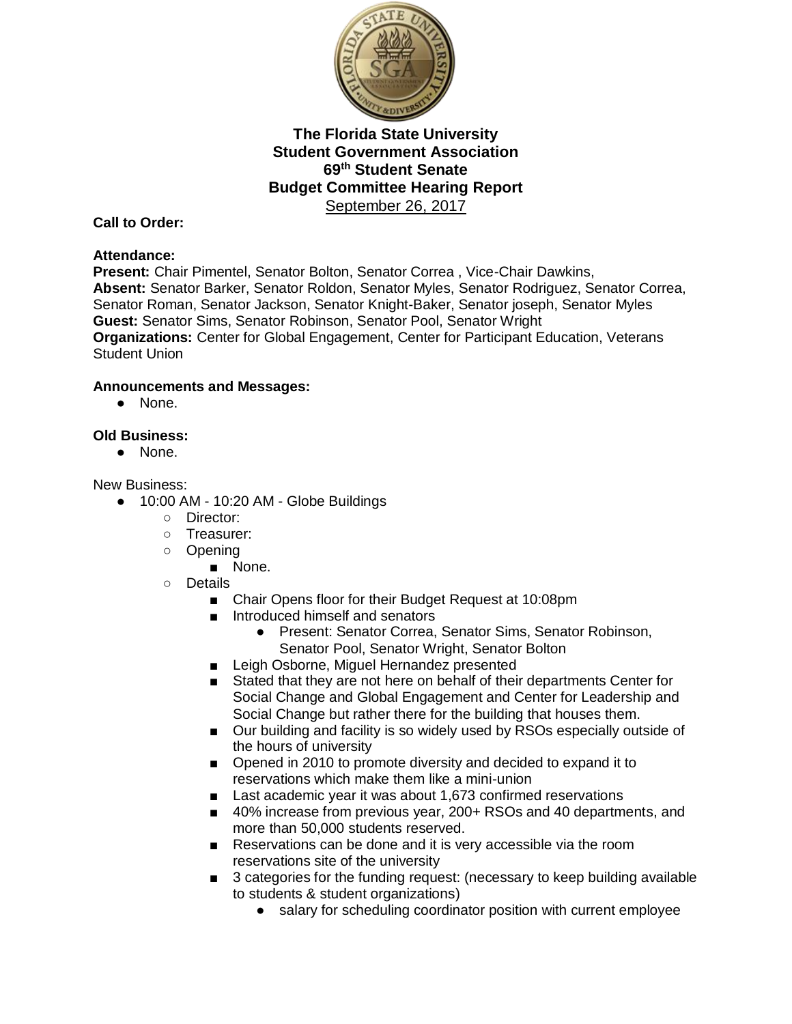

## **Call to Order:**

## **Attendance:**

**Present:** Chair Pimentel, Senator Bolton, Senator Correa , Vice-Chair Dawkins, **Absent:** Senator Barker, Senator Roldon, Senator Myles, Senator Rodriguez, Senator Correa, Senator Roman, Senator Jackson, Senator Knight-Baker, Senator joseph, Senator Myles **Guest:** Senator Sims, Senator Robinson, Senator Pool, Senator Wright **Organizations:** Center for Global Engagement, Center for Participant Education, Veterans Student Union

## **Announcements and Messages:**

● None.

## **Old Business:**

● None.

#### New Business:

- 10:00 AM 10:20 AM Globe Buildings
	- Director:
	- Treasurer:
	- Opening
		- None.
	- Details
		- Chair Opens floor for their Budget Request at 10:08pm
		- Introduced himself and senators
			- Present: Senator Correa, Senator Sims, Senator Robinson, Senator Pool, Senator Wright, Senator Bolton
		- Leigh Osborne, Miguel Hernandez presented
		- Stated that they are not here on behalf of their departments Center for Social Change and Global Engagement and Center for Leadership and Social Change but rather there for the building that houses them.
		- Our building and facility is so widely used by RSOs especially outside of the hours of university
		- Opened in 2010 to promote diversity and decided to expand it to reservations which make them like a mini-union
		- Last academic year it was about 1,673 confirmed reservations
		- 40% increase from previous year, 200+ RSOs and 40 departments, and more than 50,000 students reserved.
		- Reservations can be done and it is very accessible via the room reservations site of the university
		- 3 categories for the funding request: (necessary to keep building available to students & student organizations)
			- salary for scheduling coordinator position with current employee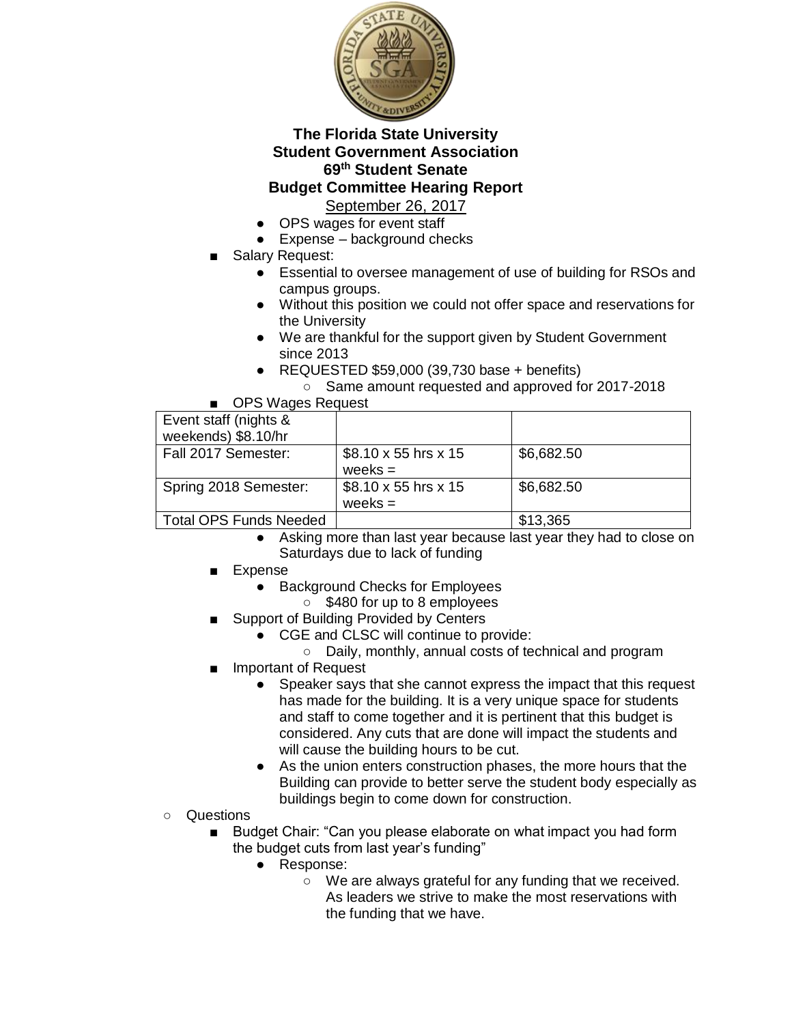

September 26, 2017

- OPS wages for event staff
- $\bullet$  Expense background checks
- Salary Request:
	- Essential to oversee management of use of building for RSOs and campus groups.
	- Without this position we could not offer space and reservations for the University
	- We are thankful for the support given by Student Government since 2013
	- $\bullet$  REQUESTED \$59,000 (39,730 base + benefits)
		- Same amount requested and approved for 2017-2018

OPS Wages Request

| Event staff (nights &  |                                   |            |
|------------------------|-----------------------------------|------------|
| weekends) \$8.10/hr    |                                   |            |
| Fall 2017 Semester:    | \$8.10 x 55 hrs x 15              | \$6,682.50 |
|                        | weeks $=$                         |            |
| Spring 2018 Semester:  | $$8.10 \times 55$ hrs $\times 15$ | \$6,682.50 |
|                        | weeks $=$                         |            |
| Total OPS Funds Needed |                                   | \$13,365   |

- Asking more than last year because last year they had to close on Saturdays due to lack of funding
- Expense
	- Background Checks for Employees
		- \$480 for up to 8 employees
- Support of Building Provided by Centers
	- CGE and CLSC will continue to provide:
		- Daily, monthly, annual costs of technical and program
- Important of Request
	- Speaker says that she cannot express the impact that this request has made for the building. It is a very unique space for students and staff to come together and it is pertinent that this budget is considered. Any cuts that are done will impact the students and will cause the building hours to be cut.
	- As the union enters construction phases, the more hours that the Building can provide to better serve the student body especially as buildings begin to come down for construction.
- Questions
	- Budget Chair: "Can you please elaborate on what impact you had form the budget cuts from last year's funding"
		- Response:
			- We are always grateful for any funding that we received. As leaders we strive to make the most reservations with the funding that we have.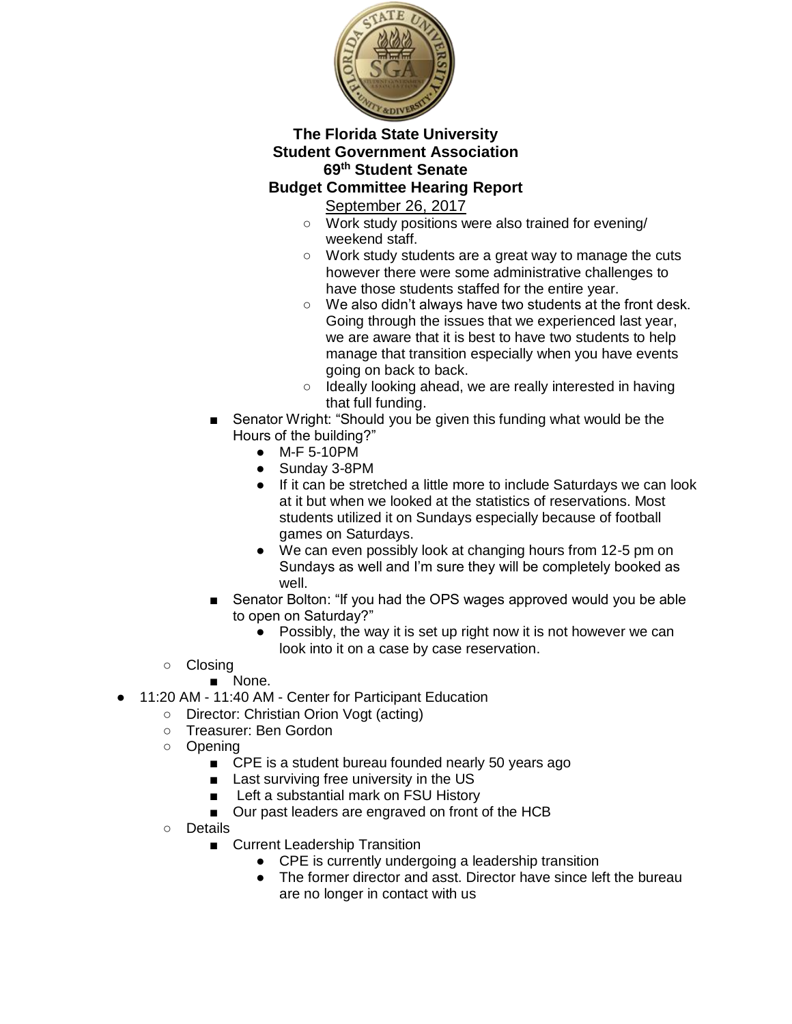

September 26, 2017

- Work study positions were also trained for evening/ weekend staff.
- Work study students are a great way to manage the cuts however there were some administrative challenges to have those students staffed for the entire year.
- We also didn't always have two students at the front desk. Going through the issues that we experienced last year, we are aware that it is best to have two students to help manage that transition especially when you have events going on back to back.
- Ideally looking ahead, we are really interested in having that full funding.
- Senator Wright: "Should you be given this funding what would be the Hours of the building?"
	- M-F 5-10PM
	- Sunday 3-8PM
	- If it can be stretched a little more to include Saturdays we can look at it but when we looked at the statistics of reservations. Most students utilized it on Sundays especially because of football games on Saturdays.
	- We can even possibly look at changing hours from 12-5 pm on Sundays as well and I'm sure they will be completely booked as well.
- Senator Bolton: "If you had the OPS wages approved would you be able to open on Saturday?"
	- Possibly, the way it is set up right now it is not however we can look into it on a case by case reservation.
- Closing
	- None.
- 11:20 AM 11:40 AM Center for Participant Education
	- Director: Christian Orion Vogt (acting)
	- Treasurer: Ben Gordon
	- Opening
		- CPE is a student bureau founded nearly 50 years ago
		- Last surviving free university in the US
		- Left a substantial mark on FSU History
		- Our past leaders are engraved on front of the HCB
	- Details
		- Current Leadership Transition
			- CPE is currently undergoing a leadership transition
			- The former director and asst. Director have since left the bureau are no longer in contact with us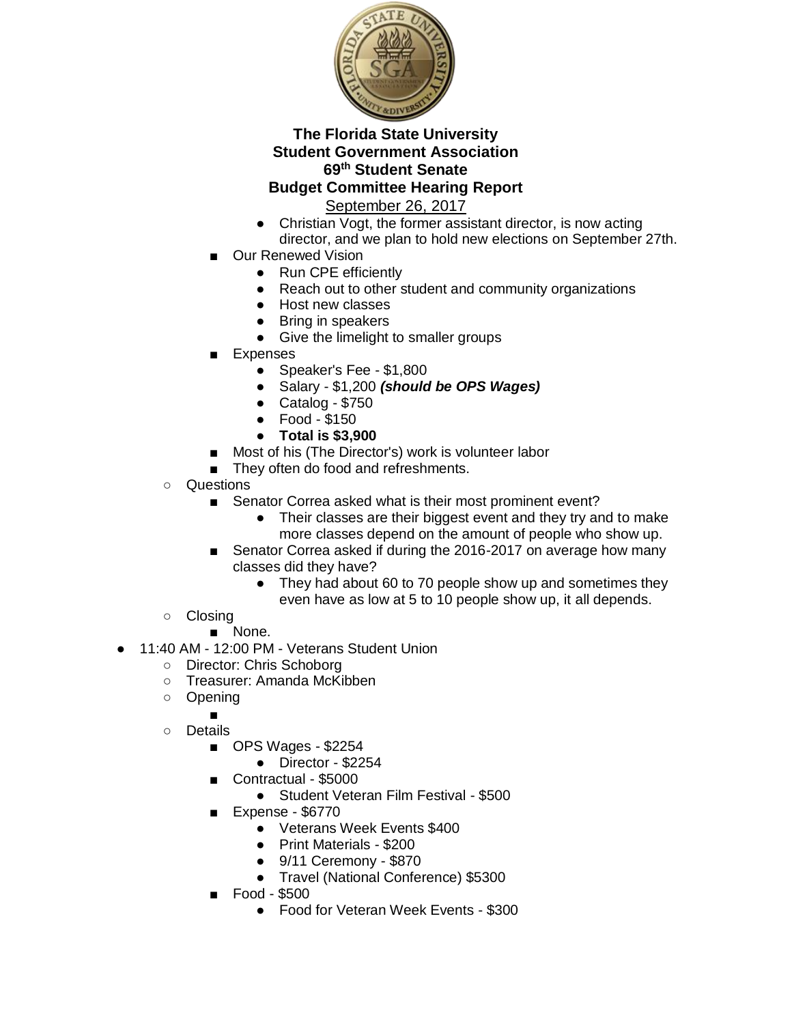

September 26, 2017

- Christian Vogt, the former assistant director, is now acting director, and we plan to hold new elections on September 27th.
- **Our Renewed Vision** 
	- Run CPE efficiently
	- Reach out to other student and community organizations
	- Host new classes
	- Bring in speakers
	- Give the limelight to smaller groups
- **Expenses** 
	- Speaker's Fee \$1,800
	- Salary \$1,200 *(should be OPS Wages)*
	- Catalog \$750
	- Food \$150
	- **Total is \$3,900**
- Most of his (The Director's) work is volunteer labor
- They often do food and refreshments.
- Questions
	- Senator Correa asked what is their most prominent event?
		- Their classes are their biggest event and they try and to make more classes depend on the amount of people who show up.
	- Senator Correa asked if during the 2016-2017 on average how many classes did they have?
		- They had about 60 to 70 people show up and sometimes they even have as low at 5 to 10 people show up, it all depends.
- Closing
	- None.
- 11:40 AM 12:00 PM Veterans Student Union
	- Director: Chris Schoborg
	- Treasurer: Amanda McKibben
	- Opening
		- ■
	- Details
		- OPS Wages \$2254
			- Director \$2254
		- Contractual \$5000
			- Student Veteran Film Festival \$500
		- Expense \$6770
			- Veterans Week Events \$400
			- Print Materials \$200
			- 9/11 Ceremony \$870
			- Travel (National Conference) \$5300
		- Food \$500
			- Food for Veteran Week Events \$300